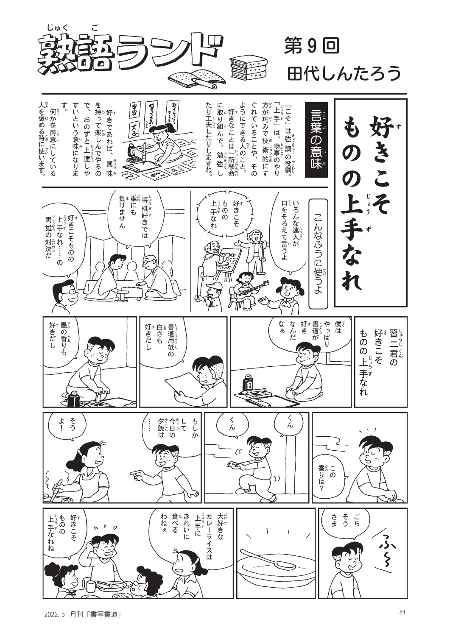